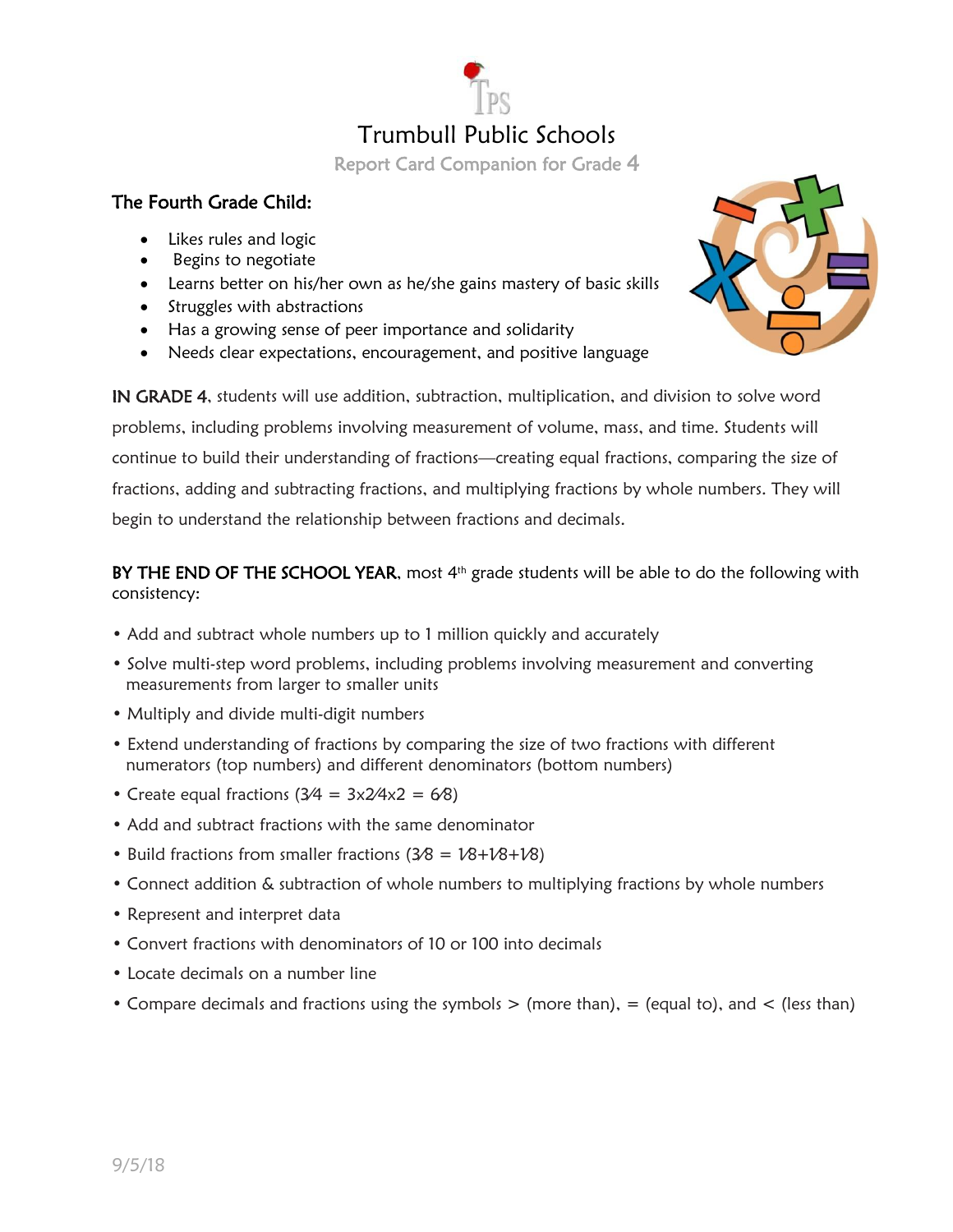

# Trumbull Public Schools

Report Card Companion for Grade 4

## The Fourth Grade Child:

- Likes rules and logic
- Begins to negotiate
- Learns better on his/her own as he/she gains mastery of basic skills
- Struggles with abstractions
- Has a growing sense of peer importance and solidarity
- Needs clear expectations, encouragement, and positive language



IN GRADE 4, students will use addition, subtraction, multiplication, and division to solve word problems, including problems involving measurement of volume, mass, and time. Students will continue to build their understanding of fractions—creating equal fractions, comparing the size of fractions, adding and subtracting fractions, and multiplying fractions by whole numbers. They will begin to understand the relationship between fractions and decimals.

BY THE END OF THE SCHOOL YEAR, most  $4<sup>th</sup>$  grade students will be able to do the following with consistency:

- Add and subtract whole numbers up to 1 million quickly and accurately
- Solve multi-step word problems, including problems involving measurement and converting measurements from larger to smaller units
- Multiply and divide multi-digit numbers
- Extend understanding of fractions by comparing the size of two fractions with different numerators (top numbers) and different denominators (bottom numbers)
- Create equal fractions  $(3/4 = 3 \times 2/4 \times 2 = 6/8)$
- Add and subtract fractions with the same denominator
- Build fractions from smaller fractions  $(3/8 = 1/8 + 1/8 + 1/8)$
- Connect addition & subtraction of whole numbers to multiplying fractions by whole numbers
- Represent and interpret data
- Convert fractions with denominators of 10 or 100 into decimals
- Locate decimals on a number line
- Compare decimals and fractions using the symbols  $>$  (more than),  $=$  (equal to), and  $\lt$  (less than)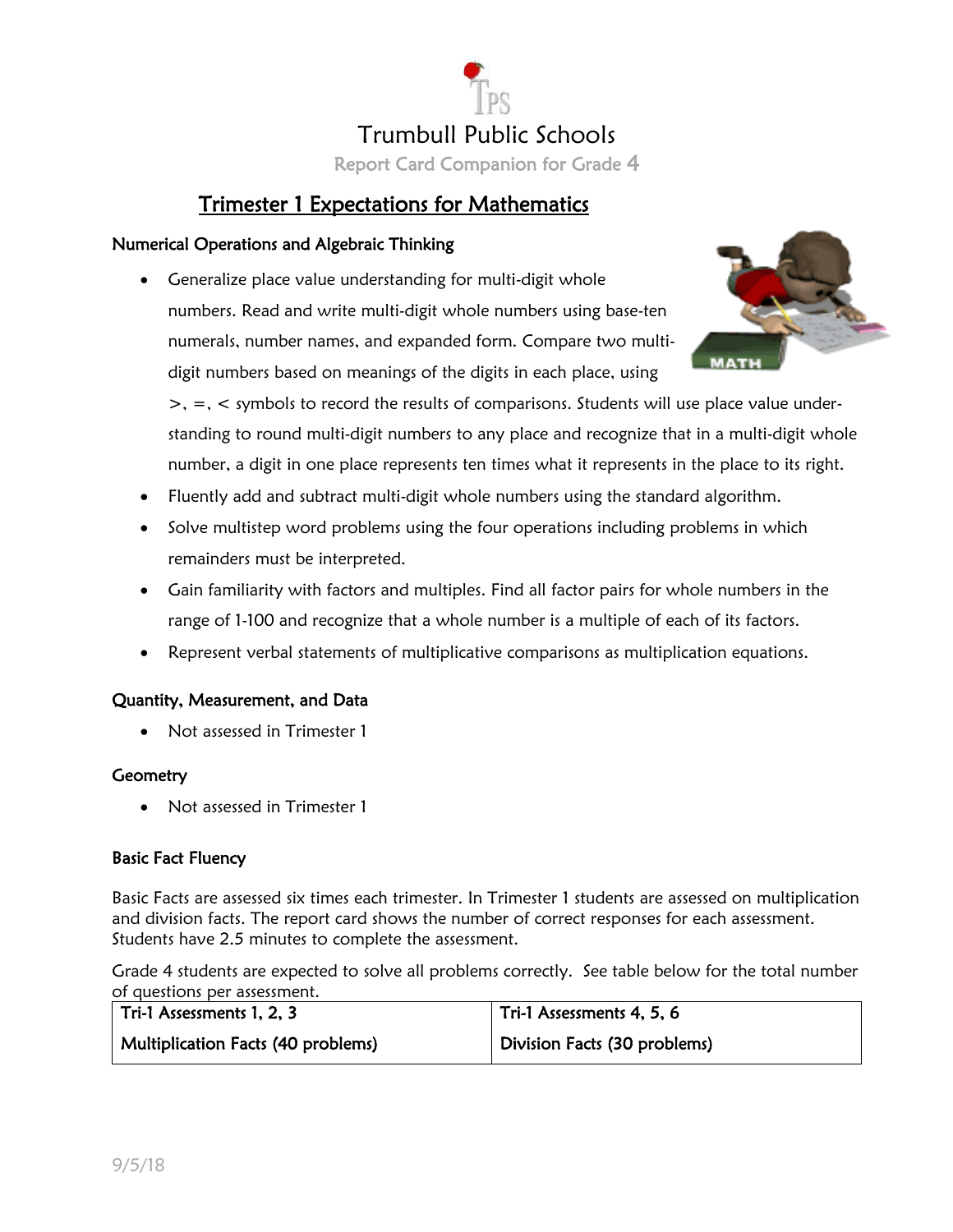

## Trimester 1 Expectations for Mathematics

#### Numerical Operations and Algebraic Thinking

 Generalize place value understanding for multi-digit whole numbers. Read and write multi-digit whole numbers using base-ten numerals, number names, and expanded form. Compare two multidigit numbers based on meanings of the digits in each place, using



 $>$ ,  $=$ ,  $\lt$  symbols to record the results of comparisons. Students will use place value understanding to round multi-digit numbers to any place and recognize that in a multi-digit whole number, a digit in one place represents ten times what it represents in the place to its right.

- Fluently add and subtract multi-digit whole numbers using the standard algorithm.
- Solve multistep word problems using the four operations including problems in which remainders must be interpreted.
- Gain familiarity with factors and multiples. Find all factor pairs for whole numbers in the range of 1-100 and recognize that a whole number is a multiple of each of its factors.
- Represent verbal statements of multiplicative comparisons as multiplication equations.

#### Quantity, Measurement, and Data

• Not assessed in Trimester 1

#### **Geometry**

Not assessed in Trimester 1

#### Basic Fact Fluency

Basic Facts are assessed six times each trimester. In Trimester 1 students are assessed on multiplication and division facts. The report card shows the number of correct responses for each assessment. Students have 2.5 minutes to complete the assessment.

Grade 4 students are expected to solve all problems correctly. See table below for the total number of questions per assessment.

| Tri-1 Assessments 1, 2, 3          | Tri-1 Assessments 4, 5, 6    |
|------------------------------------|------------------------------|
| Multiplication Facts (40 problems) | Division Facts (30 problems) |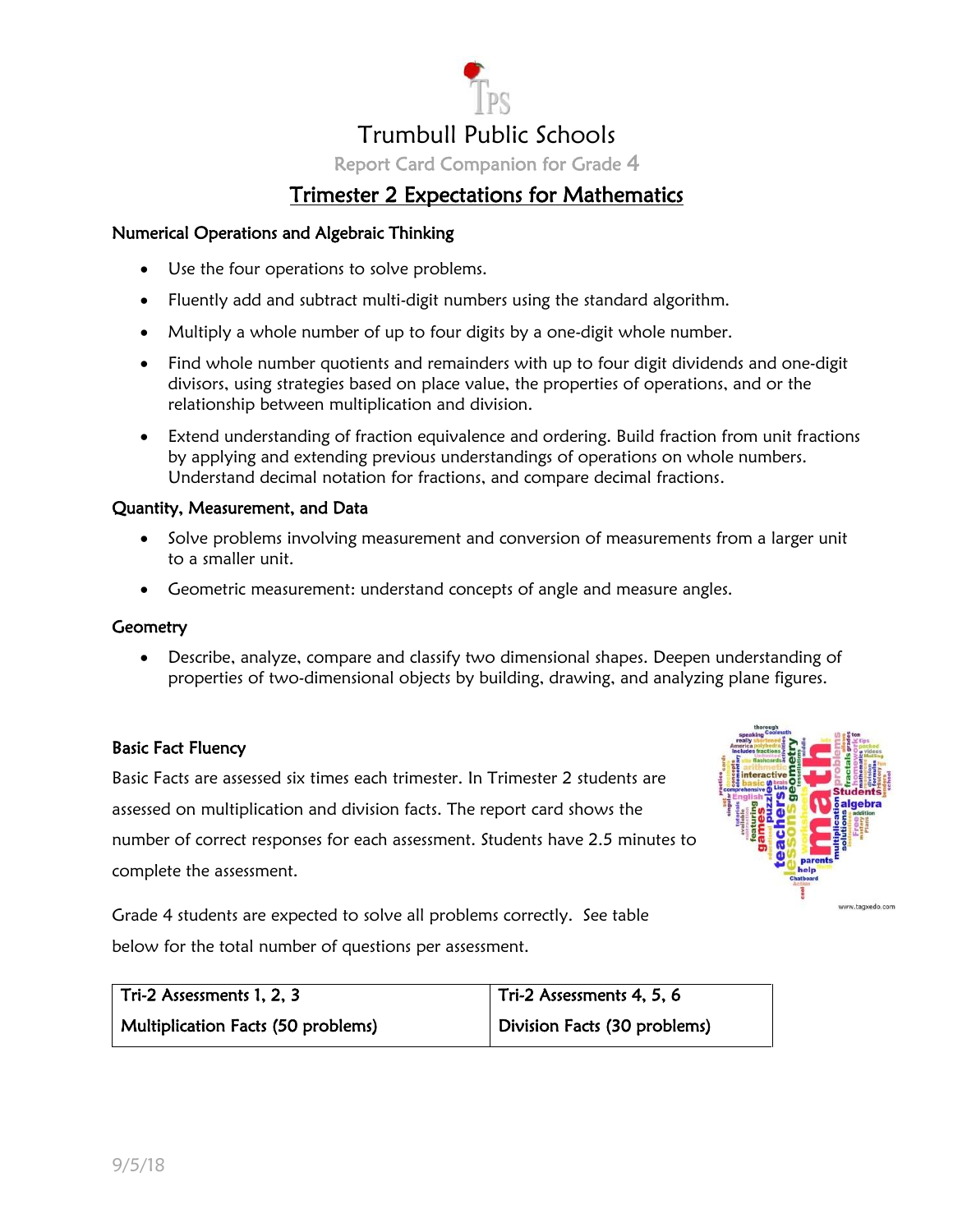

# Trumbull Public Schools

Report Card Companion for Grade 4

# Trimester 2 Expectations for Mathematics

#### Numerical Operations and Algebraic Thinking

- Use the four operations to solve problems.
- Fluently add and subtract multi-digit numbers using the standard algorithm.
- Multiply a whole number of up to four digits by a one-digit whole number.
- Find whole number quotients and remainders with up to four digit dividends and one-digit divisors, using strategies based on place value, the properties of operations, and or the relationship between multiplication and division.
- Extend understanding of fraction equivalence and ordering. Build fraction from unit fractions by applying and extending previous understandings of operations on whole numbers. Understand decimal notation for fractions, and compare decimal fractions.

#### Quantity, Measurement, and Data

- Solve problems involving measurement and conversion of measurements from a larger unit to a smaller unit.
- Geometric measurement: understand concepts of angle and measure angles.

#### **Geometry**

 Describe, analyze, compare and classify two dimensional shapes. Deepen understanding of properties of two-dimensional objects by building, drawing, and analyzing plane figures.

#### Basic Fact Fluency

Basic Facts are assessed six times each trimester. In Trimester 2 students are assessed on multiplication and division facts. The report card shows the number of correct responses for each assessment. Students have 2.5 minutes to complete the assessment.



Grade 4 students are expected to solve all problems correctly. See table below for the total number of questions per assessment.

| Tri-2 Assessments 1, 2, 3          | $\mid$ Tri-2 Assessments 4, 5, 6 |
|------------------------------------|----------------------------------|
| Multiplication Facts (50 problems) | Division Facts (30 problems)     |